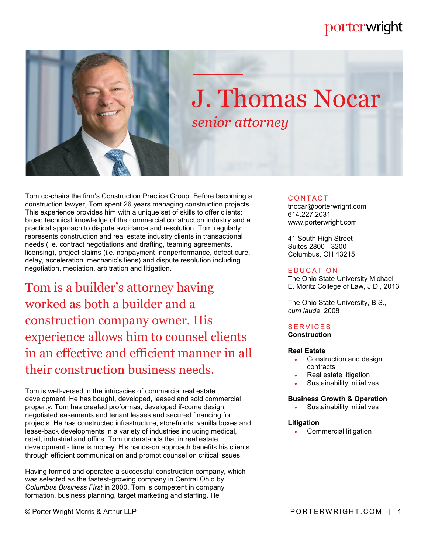# porterwright



# J. Thomas Nocar *senior attorney*

Tom co-chairs the firm's Construction Practice Group. Before becoming a construction lawyer, Tom spent 26 years managing construction projects. This experience provides him with a unique set of skills to offer clients: broad technical knowledge of the commercial construction industry and a practical approach to dispute avoidance and resolution. Tom regularly represents construction and real estate industry clients in transactional needs (i.e. contract negotiations and drafting, teaming agreements, licensing), project claims (i.e. nonpayment, nonperformance, defect cure, delay, acceleration, mechanic's liens) and dispute resolution including negotiation, mediation, arbitration and litigation.

Tom is a builder's attorney having worked as both a builder and a construction company owner. His experience allows him to counsel clients in an effective and efficient manner in all their construction business needs.

Tom is well-versed in the intricacies of commercial real estate development. He has bought, developed, leased and sold commercial property. Tom has created proformas, developed if-come design, negotiated easements and tenant leases and secured financing for projects. He has constructed infrastructure, storefronts, vanilla boxes and lease-back developments in a variety of industries including medical, retail, industrial and office. Tom understands that in real estate development - time is money. His hands-on approach benefits his clients through efficient communication and prompt counsel on critical issues.

Having formed and operated a successful construction company, which was selected as the fastest-growing company in Central Ohio by *Columbus Business First* in 2000, Tom is competent in company formation, business planning, target marketing and staffing. He

© Porter Wright Morris & Arthur LLP **PORTERWRIGHT.COM** | 1

# **CONTACT**

tnocar@porterwright.com 614.227.2031 www.porterwright.com

41 South High Street Suites 2800 - 3200 Columbus, OH 43215

# **E DUCATION**

The Ohio State University Michael E. Moritz College of Law, J.D., 2013

The Ohio State University, B.S., *cum laude*, 2008

#### **SERVICES Construction**

#### **Real Estate**

- Construction and design contracts
- Real estate litigation
- Sustainability initiatives

#### **Business Growth & Operation**

Sustainability initiatives

#### **Litigation**

Commercial litigation